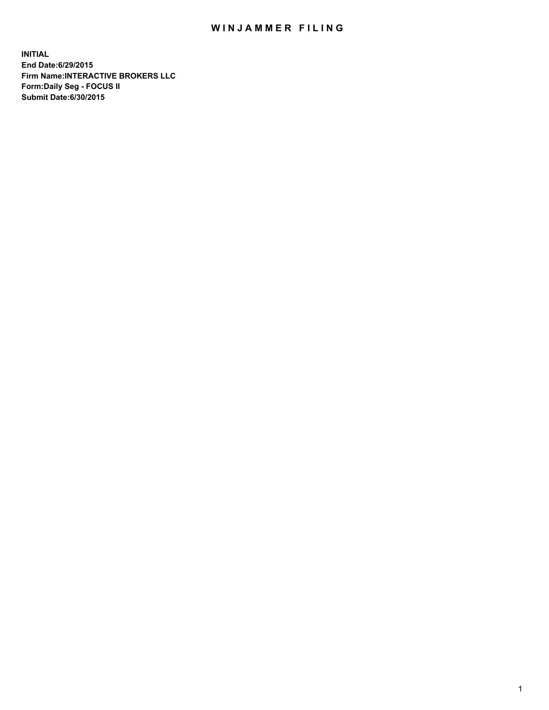## WIN JAMMER FILING

**INITIAL End Date:6/29/2015 Firm Name:INTERACTIVE BROKERS LLC Form:Daily Seg - FOCUS II Submit Date:6/30/2015**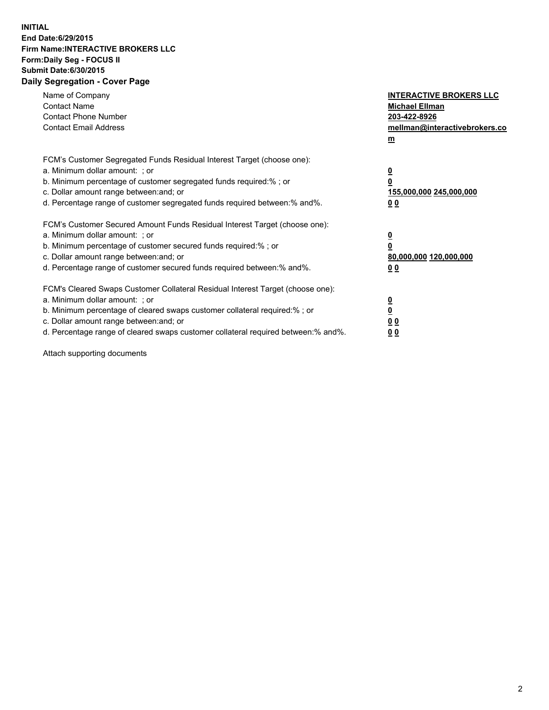## **INITIAL End Date:6/29/2015 Firm Name:INTERACTIVE BROKERS LLC Form:Daily Seg - FOCUS II Submit Date:6/30/2015 Daily Segregation - Cover Page**

| Name of Company<br><b>Contact Name</b><br><b>Contact Phone Number</b><br><b>Contact Email Address</b>                                                                                                                                                                                                                          | <b>INTERACTIVE BROKERS LLC</b><br><b>Michael Ellman</b><br>203-422-8926<br>mellman@interactivebrokers.co<br>$\mathbf{m}$ |
|--------------------------------------------------------------------------------------------------------------------------------------------------------------------------------------------------------------------------------------------------------------------------------------------------------------------------------|--------------------------------------------------------------------------------------------------------------------------|
| FCM's Customer Segregated Funds Residual Interest Target (choose one):<br>a. Minimum dollar amount: ; or<br>b. Minimum percentage of customer segregated funds required:% ; or<br>c. Dollar amount range between: and; or<br>d. Percentage range of customer segregated funds required between: % and %.                       | $\overline{\mathbf{0}}$<br>0<br>155,000,000 245,000,000<br>00                                                            |
| FCM's Customer Secured Amount Funds Residual Interest Target (choose one):<br>a. Minimum dollar amount: ; or<br>b. Minimum percentage of customer secured funds required:%; or<br>c. Dollar amount range between: and; or<br>d. Percentage range of customer secured funds required between: % and %.                          | $\overline{\mathbf{0}}$<br>0<br>80,000,000 120,000,000<br>00                                                             |
| FCM's Cleared Swaps Customer Collateral Residual Interest Target (choose one):<br>a. Minimum dollar amount: ; or<br>b. Minimum percentage of cleared swaps customer collateral required:% ; or<br>c. Dollar amount range between: and; or<br>d. Percentage range of cleared swaps customer collateral required between:% and%. | $\overline{\mathbf{0}}$<br>$\overline{\mathbf{0}}$<br>00<br>0 <sub>0</sub>                                               |

Attach supporting documents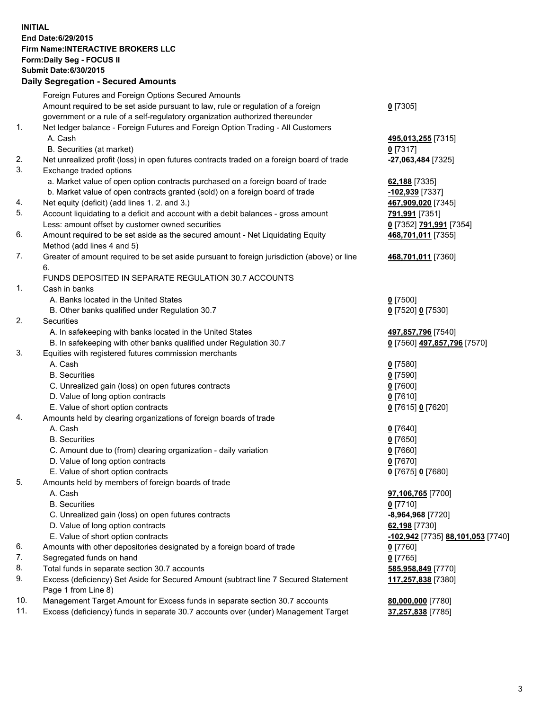## **INITIAL End Date:6/29/2015 Firm Name:INTERACTIVE BROKERS LLC Form:Daily Seg - FOCUS II Submit Date:6/30/2015 Daily Segregation - Secured Amounts**

|     | Foreign Futures and Foreign Options Secured Amounts                                                        |                                                 |
|-----|------------------------------------------------------------------------------------------------------------|-------------------------------------------------|
|     | Amount required to be set aside pursuant to law, rule or regulation of a foreign                           | $0$ [7305]                                      |
|     | government or a rule of a self-regulatory organization authorized thereunder                               |                                                 |
| 1.  | Net ledger balance - Foreign Futures and Foreign Option Trading - All Customers                            |                                                 |
|     | A. Cash                                                                                                    | 495,013,255 [7315]                              |
|     | B. Securities (at market)                                                                                  | $0$ [7317]                                      |
| 2.  | Net unrealized profit (loss) in open futures contracts traded on a foreign board of trade                  | <mark>-27,063,484</mark> [7325]                 |
| 3.  | Exchange traded options                                                                                    |                                                 |
|     | a. Market value of open option contracts purchased on a foreign board of trade                             | 62,188 [7335]                                   |
|     | b. Market value of open contracts granted (sold) on a foreign board of trade                               | <u>-102,939</u> [7337]                          |
| 4.  | Net equity (deficit) (add lines 1.2. and 3.)                                                               | 467,909,020 [7345]                              |
| 5.  | Account liquidating to a deficit and account with a debit balances - gross amount                          | <u>791,991</u> [7351]                           |
|     | Less: amount offset by customer owned securities                                                           | 0 [7352] 791,991 [7354]                         |
| 6.  | Amount required to be set aside as the secured amount - Net Liquidating Equity                             | 468,701,011 [7355]                              |
|     | Method (add lines 4 and 5)                                                                                 |                                                 |
| 7.  | Greater of amount required to be set aside pursuant to foreign jurisdiction (above) or line                | 468,701,011 [7360]                              |
|     | 6.                                                                                                         |                                                 |
|     | FUNDS DEPOSITED IN SEPARATE REGULATION 30.7 ACCOUNTS                                                       |                                                 |
| 1.  | Cash in banks                                                                                              |                                                 |
|     | A. Banks located in the United States                                                                      | $0$ [7500]                                      |
|     | B. Other banks qualified under Regulation 30.7                                                             | 0 [7520] 0 [7530]                               |
| 2.  | Securities                                                                                                 |                                                 |
|     | A. In safekeeping with banks located in the United States                                                  | 497,857,796 [7540]                              |
|     | B. In safekeeping with other banks qualified under Regulation 30.7                                         | 0 [7560] 497,857,796 [7570]                     |
| 3.  | Equities with registered futures commission merchants                                                      |                                                 |
|     | A. Cash                                                                                                    | $0$ [7580]                                      |
|     | <b>B.</b> Securities                                                                                       | $0$ [7590]                                      |
|     | C. Unrealized gain (loss) on open futures contracts                                                        | $0$ [7600]                                      |
|     | D. Value of long option contracts                                                                          | $0$ [7610]                                      |
|     | E. Value of short option contracts                                                                         |                                                 |
| 4.  |                                                                                                            | 0 [7615] 0 [7620]                               |
|     | Amounts held by clearing organizations of foreign boards of trade<br>A. Cash                               |                                                 |
|     |                                                                                                            | $0$ [7640]                                      |
|     | <b>B.</b> Securities                                                                                       | $0$ [7650]                                      |
|     | C. Amount due to (from) clearing organization - daily variation                                            | $0$ [7660]                                      |
|     | D. Value of long option contracts                                                                          | $0$ [7670]                                      |
|     | E. Value of short option contracts                                                                         | 0 [7675] 0 [7680]                               |
| 5.  | Amounts held by members of foreign boards of trade                                                         |                                                 |
|     | A. Cash                                                                                                    | 97,106,765 [7700]                               |
|     | <b>B.</b> Securities                                                                                       | $0$ [7710]                                      |
|     | C. Unrealized gain (loss) on open futures contracts                                                        | -8,964,968 [7720]                               |
|     | D. Value of long option contracts                                                                          | 62,198 [7730]                                   |
|     | E. Value of short option contracts                                                                         | <u>-102,942</u> [7735] <u>88,101,053</u> [7740] |
| 6.  | Amounts with other depositories designated by a foreign board of trade                                     | $0$ [7760]                                      |
| 7.  | Segregated funds on hand                                                                                   | $0$ [7765]                                      |
| 8.  | Total funds in separate section 30.7 accounts                                                              | 585,958,849 [7770]                              |
| 9.  | Excess (deficiency) Set Aside for Secured Amount (subtract line 7 Secured Statement<br>Page 1 from Line 8) | 117,257,838 [7380]                              |
| 10. | Management Target Amount for Excess funds in separate section 30.7 accounts                                | 80,000,000 [7780]                               |
| 11. | Excess (deficiency) funds in separate 30.7 accounts over (under) Management Target                         | 37,257,838 [7785]                               |
|     |                                                                                                            |                                                 |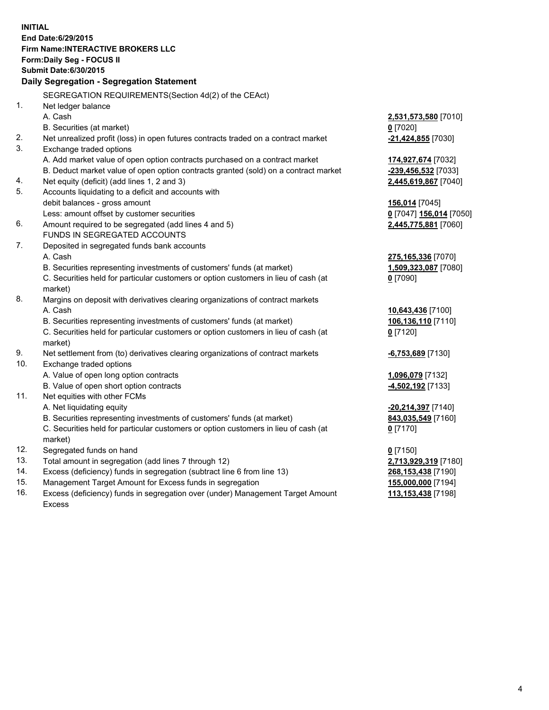**INITIAL End Date:6/29/2015 Firm Name:INTERACTIVE BROKERS LLC Form:Daily Seg - FOCUS II Submit Date:6/30/2015 Daily Segregation - Segregation Statement** SEGREGATION REQUIREMENTS(Section 4d(2) of the CEAct) 1. Net ledger balance A. Cash **2,531,573,580** [7010] B. Securities (at market) **0** [7020] 2. Net unrealized profit (loss) in open futures contracts traded on a contract market **-21,424,855** [7030] 3. Exchange traded options A. Add market value of open option contracts purchased on a contract market **174,927,674** [7032] B. Deduct market value of open option contracts granted (sold) on a contract market **-239,456,532** [7033] 4. Net equity (deficit) (add lines 1, 2 and 3) **2,445,619,867** [7040] 5. Accounts liquidating to a deficit and accounts with debit balances - gross amount **156,014** [7045] Less: amount offset by customer securities **0** [7047] **156,014** [7050] 6. Amount required to be segregated (add lines 4 and 5) **2,445,775,881** [7060] FUNDS IN SEGREGATED ACCOUNTS 7. Deposited in segregated funds bank accounts A. Cash **275,165,336** [7070] B. Securities representing investments of customers' funds (at market) **1,509,323,087** [7080] C. Securities held for particular customers or option customers in lieu of cash (at market) **0** [7090] 8. Margins on deposit with derivatives clearing organizations of contract markets A. Cash **10,643,436** [7100] B. Securities representing investments of customers' funds (at market) **106,136,110** [7110] C. Securities held for particular customers or option customers in lieu of cash (at market) **0** [7120] 9. Net settlement from (to) derivatives clearing organizations of contract markets **-6,753,689** [7130] 10. Exchange traded options A. Value of open long option contracts **1,096,079** [7132] B. Value of open short option contracts **-4,502,192** [7133] 11. Net equities with other FCMs A. Net liquidating equity **-20,214,397** [7140] B. Securities representing investments of customers' funds (at market) **843,035,549** [7160] C. Securities held for particular customers or option customers in lieu of cash (at market) **0** [7170] 12. Segregated funds on hand **0** [7150] 13. Total amount in segregation (add lines 7 through 12) **2,713,929,319** [7180] 14. Excess (deficiency) funds in segregation (subtract line 6 from line 13) **268,153,438** [7190] 15. Management Target Amount for Excess funds in segregation **155,000,000** [7194]

16. Excess (deficiency) funds in segregation over (under) Management Target Amount Excess

**113,153,438** [7198]